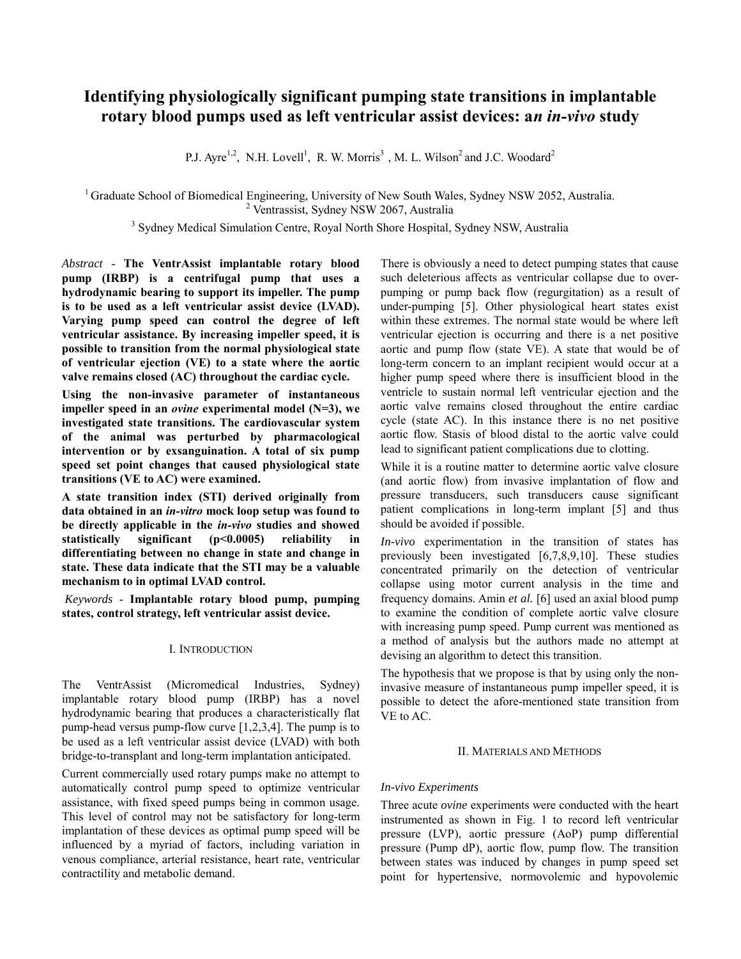# **Identifying physiologically significant pumping state transitions in implantable rotary blood pumps used as left ventricular assist devices: a***n in-vivo* **study**

P.J. Ayre<sup>1,2</sup>, N.H. Lovell<sup>1</sup>, R. W. Morris<sup>3</sup>, M. L. Wilson<sup>2</sup> and J.C. Woodard<sup>2</sup>

<sup>1</sup> Graduate School of Biomedical Engineering, University of New South Wales, Sydney NSW 2052, Australia. <sup>2</sup> Ventrassist, Sydney NSW 2067, Australia

<sup>3</sup> Sydney Medical Simulation Centre, Royal North Shore Hospital, Sydney NSW, Australia

*Abstract* - **The VentrAssist implantable rotary blood pump (IRBP) is a centrifugal pump that uses a hydrodynamic bearing to support its impeller. The pump is to be used as a left ventricular assist device (LVAD). Varying pump speed can control the degree of left ventricular assistance. By increasing impeller speed, it is possible to transition from the normal physiological state of ventricular ejection (VE) to a state where the aortic valve remains closed (AC) throughout the cardiac cycle.** 

**Using the non-invasive parameter of instantaneous impeller speed in an** *ovine* **experimental model (N=3), we investigated state transitions. The cardiovascular system of the animal was perturbed by pharmacological intervention or by exsanguination. A total of six pump speed set point changes that caused physiological state transitions (VE to AC) were examined.** 

**A state transition index (STI) derived originally from data obtained in an** *in-vitro* **mock loop setup was found to be directly applicable in the** *in-vivo* **studies and showed statistically significant (p<0.0005) reliability in differentiating between no change in state and change in state. These data indicate that the STI may be a valuable mechanism to in optimal LVAD control.**

*Keywords* - **Implantable rotary blood pump, pumping states, control strategy, left ventricular assist device.**

## I. INTRODUCTION

The VentrAssist (Micromedical Industries, Sydney) implantable rotary blood pump (IRBP) has a novel hydrodynamic bearing that produces a characteristically flat pump-head versus pump-flow curve [1,2,3,4]. The pump is to be used as a left ventricular assist device (LVAD) with both bridge-to-transplant and long-term implantation anticipated.

Current commercially used rotary pumps make no attempt to automatically control pump speed to optimize ventricular assistance, with fixed speed pumps being in common usage. This level of control may not be satisfactory for long-term implantation of these devices as optimal pump speed will be influenced by a myriad of factors, including variation in venous compliance, arterial resistance, heart rate, ventricular contractility and metabolic demand.

There is obviously a need to detect pumping states that cause such deleterious affects as ventricular collapse due to overpumping or pump back flow (regurgitation) as a result of under-pumping [5]. Other physiological heart states exist within these extremes. The normal state would be where left ventricular ejection is occurring and there is a net positive aortic and pump flow (state VE). A state that would be of long-term concern to an implant recipient would occur at a higher pump speed where there is insufficient blood in the ventricle to sustain normal left ventricular ejection and the aortic valve remains closed throughout the entire cardiac cycle (state AC). In this instance there is no net positive aortic flow. Stasis of blood distal to the aortic valve could lead to significant patient complications due to clotting.

While it is a routine matter to determine aortic valve closure (and aortic flow) from invasive implantation of flow and pressure transducers, such transducers cause significant patient complications in long-term implant [5] and thus should be avoided if possible.

*In-vivo* experimentation in the transition of states has previously been investigated [6,7,8,9,10]. These studies concentrated primarily on the detection of ventricular collapse using motor current analysis in the time and frequency domains. Amin *et al.* [6] used an axial blood pump to examine the condition of complete aortic valve closure with increasing pump speed. Pump current was mentioned as a method of analysis but the authors made no attempt at devising an algorithm to detect this transition.

The hypothesis that we propose is that by using only the noninvasive measure of instantaneous pump impeller speed, it is possible to detect the afore-mentioned state transition from VE to AC.

#### II. MATERIALS AND METHODS

#### *In-vivo Experiments*

Three acute *ovine* experiments were conducted with the heart instrumented as shown in Fig. 1 to record left ventricular pressure (LVP), aortic pressure (AoP) pump differential pressure (Pump dP), aortic flow, pump flow. The transition between states was induced by changes in pump speed set point for hypertensive, normovolemic and hypovolemic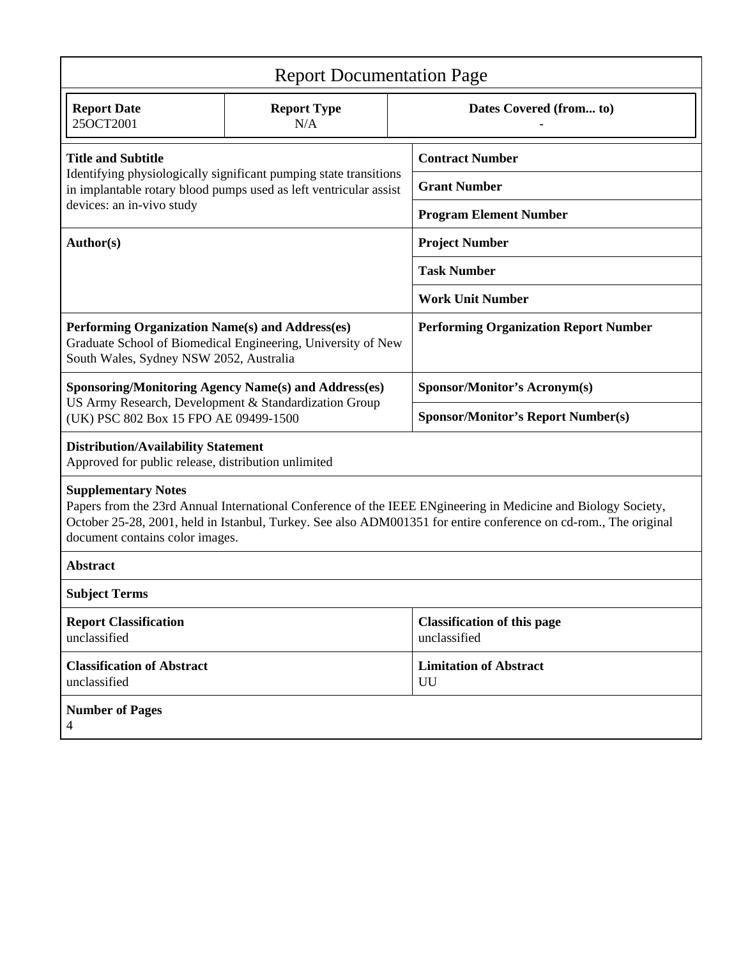| <b>Report Documentation Page</b>                                                                                                                                                                                                                                                                   |                           |                                                    |                                           |  |  |
|----------------------------------------------------------------------------------------------------------------------------------------------------------------------------------------------------------------------------------------------------------------------------------------------------|---------------------------|----------------------------------------------------|-------------------------------------------|--|--|
| <b>Report Date</b><br>25OCT2001                                                                                                                                                                                                                                                                    | <b>Report Type</b><br>N/A |                                                    | Dates Covered (from to)                   |  |  |
| <b>Title and Subtitle</b><br>Identifying physiologically significant pumping state transitions<br>in implantable rotary blood pumps used as left ventricular assist<br>devices: an in-vivo study                                                                                                   |                           | <b>Contract Number</b>                             |                                           |  |  |
|                                                                                                                                                                                                                                                                                                    |                           | <b>Grant Number</b>                                |                                           |  |  |
|                                                                                                                                                                                                                                                                                                    |                           | <b>Program Element Number</b>                      |                                           |  |  |
| <b>Author(s)</b>                                                                                                                                                                                                                                                                                   |                           | <b>Project Number</b>                              |                                           |  |  |
|                                                                                                                                                                                                                                                                                                    |                           | <b>Task Number</b>                                 |                                           |  |  |
|                                                                                                                                                                                                                                                                                                    |                           | <b>Work Unit Number</b>                            |                                           |  |  |
| Performing Organization Name(s) and Address(es)<br>Graduate School of Biomedical Engineering, University of New<br>South Wales, Sydney NSW 2052, Australia                                                                                                                                         |                           | <b>Performing Organization Report Number</b>       |                                           |  |  |
| <b>Sponsoring/Monitoring Agency Name(s) and Address(es)</b><br>US Army Research, Development & Standardization Group<br>(UK) PSC 802 Box 15 FPO AE 09499-1500                                                                                                                                      |                           | <b>Sponsor/Monitor's Acronym(s)</b>                |                                           |  |  |
|                                                                                                                                                                                                                                                                                                    |                           |                                                    | <b>Sponsor/Monitor's Report Number(s)</b> |  |  |
| <b>Distribution/Availability Statement</b><br>Approved for public release, distribution unlimited                                                                                                                                                                                                  |                           |                                                    |                                           |  |  |
| <b>Supplementary Notes</b><br>Papers from the 23rd Annual International Conference of the IEEE ENgineering in Medicine and Biology Society,<br>October 25-28, 2001, held in Istanbul, Turkey. See also ADM001351 for entire conference on cd-rom., The original<br>document contains color images. |                           |                                                    |                                           |  |  |
| <b>Abstract</b>                                                                                                                                                                                                                                                                                    |                           |                                                    |                                           |  |  |
| <b>Subject Terms</b>                                                                                                                                                                                                                                                                               |                           |                                                    |                                           |  |  |
| <b>Report Classification</b><br>unclassified                                                                                                                                                                                                                                                       |                           | <b>Classification of this page</b><br>unclassified |                                           |  |  |
| <b>Classification of Abstract</b><br>unclassified                                                                                                                                                                                                                                                  |                           |                                                    | <b>Limitation of Abstract</b><br>UU       |  |  |
| <b>Number of Pages</b><br>4                                                                                                                                                                                                                                                                        |                           |                                                    |                                           |  |  |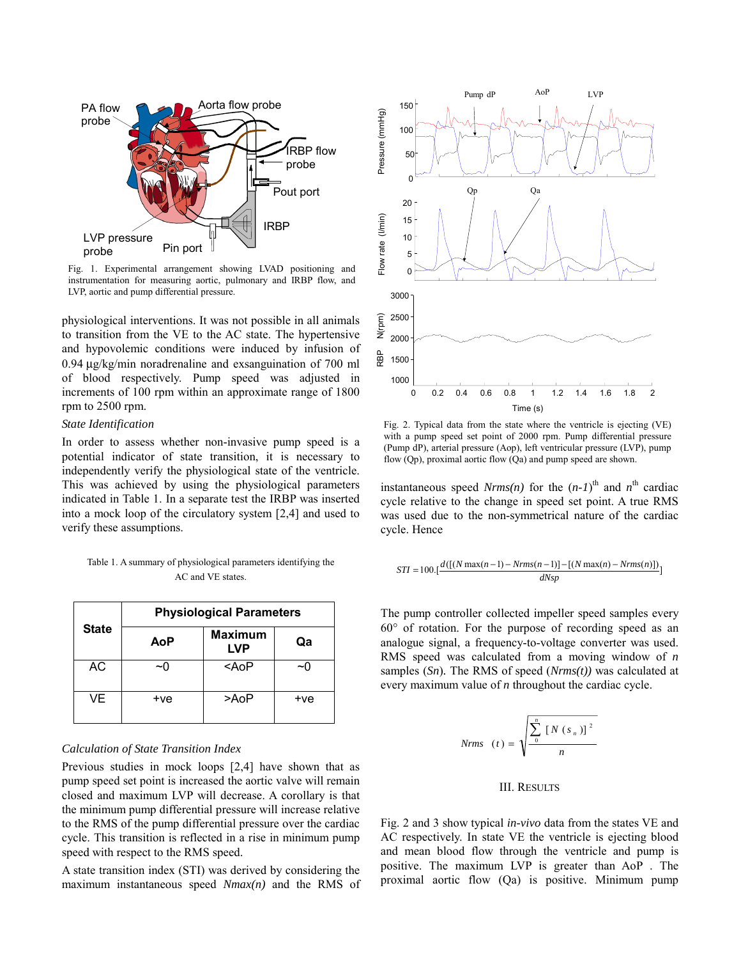

Fig. 1. Experimental arrangement showing LVAD positioning and instrumentation for measuring aortic, pulmonary and IRBP flow, and LVP, aortic and pump differential pressure.

physiological interventions. It was not possible in all animals to transition from the VE to the AC state. The hypertensive and hypovolemic conditions were induced by infusion of 0.94 µg/kg/min noradrenaline and exsanguination of 700 ml of blood respectively. Pump speed was adjusted in increments of 100 rpm within an approximate range of 1800 rpm to 2500 rpm.

### *State Identification*

In order to assess whether non-invasive pump speed is a potential indicator of state transition, it is necessary to independently verify the physiological state of the ventricle. This was achieved by using the physiological parameters indicated in Table 1. In a separate test the IRBP was inserted into a mock loop of the circulatory system [2,4] and used to verify these assumptions.

| Table 1. A summary of physiological parameters identifying the |  |
|----------------------------------------------------------------|--|
| AC and VE states.                                              |  |

| <b>State</b> | <b>Physiological Parameters</b> |                                |     |  |
|--------------|---------------------------------|--------------------------------|-----|--|
|              | AoP                             | <b>Maximum</b><br><b>LVP</b>   | Qa  |  |
| AC           | ~∩                              | <aop< td=""><td>~∩</td></aop<> | ~∩  |  |
| VE           | +ve                             | >AoP                           | +ve |  |

## *Calculation of State Transition Index*

Previous studies in mock loops [2,4] have shown that as pump speed set point is increased the aortic valve will remain closed and maximum LVP will decrease. A corollary is that the minimum pump differential pressure will increase relative to the RMS of the pump differential pressure over the cardiac cycle. This transition is reflected in a rise in minimum pump speed with respect to the RMS speed.

A state transition index (STI) was derived by considering the maximum instantaneous speed *Nmax(n)* and the RMS of



Fig. 2. Typical data from the state where the ventricle is ejecting (VE) with a pump speed set point of 2000 rpm. Pump differential pressure (Pump dP), arterial pressure (Aop), left ventricular pressure (LVP), pump flow (Qp), proximal aortic flow (Qa) and pump speed are shown.

instantaneous speed *Nrms(n)* for the  $(n-1)$ <sup>th</sup> and  $n<sup>th</sup>$  cardiac cycle relative to the change in speed set point. A true RMS was used due to the non-symmetrical nature of the cardiac cycle. Hence

$$
STI = 100. \left[ \frac{d\left( \left[ (N \max(n-1) - Nrms(n-1) \right] - \left[ (N \max(n) - Nrms(n) \right] \right)}{dNsp} \right]
$$

The pump controller collected impeller speed samples every 60° of rotation. For the purpose of recording speed as an analogue signal, a frequency-to-voltage converter was used. RMS speed was calculated from a moving window of *n* samples (*Sn*)*.* The RMS of speed (*Nrms(t))* was calculated at every maximum value of *n* throughout the cardiac cycle.

$$
Nrms (t) = \sqrt{\frac{\sum_{0}^{n} [N(s_n)]^2}{n}}
$$

## III. RESULTS

Fig. 2 and 3 show typical *in-vivo* data from the states VE and AC respectively. In state VE the ventricle is ejecting blood and mean blood flow through the ventricle and pump is positive. The maximum LVP is greater than AoP . The proximal aortic flow (Qa) is positive. Minimum pump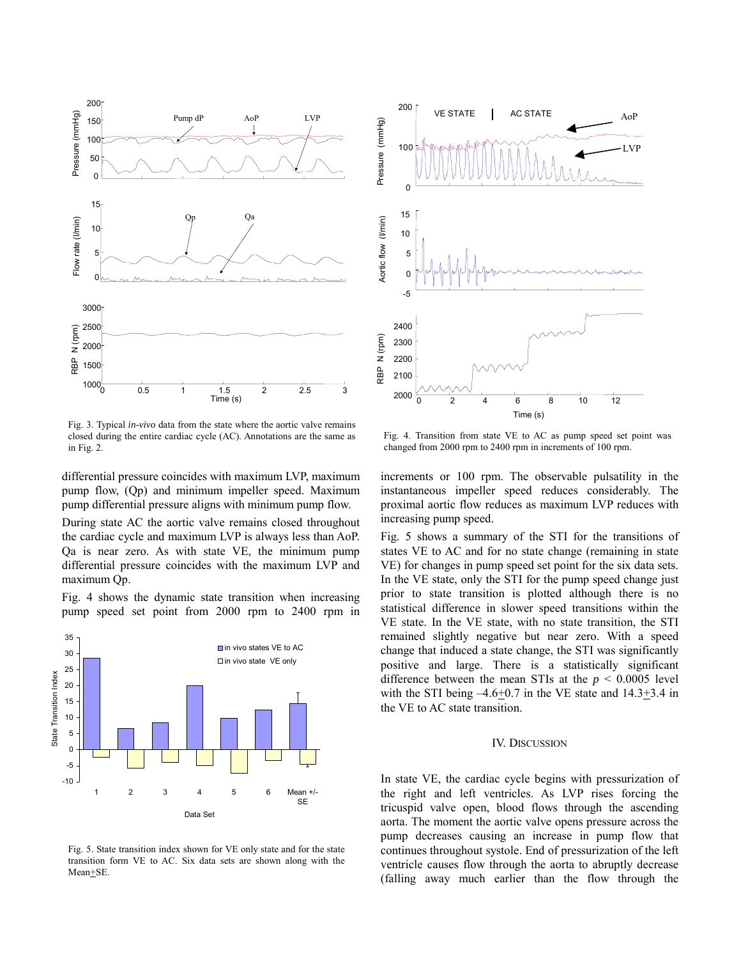

Fig. 3. Typical *in-vivo* data from the state where the aortic valve remains closed during the entire cardiac cycle (AC). Annotations are the same as in Fig. 2.

differential pressure coincides with maximum LVP, maximum pump flow, (Qp) and minimum impeller speed. Maximum pump differential pressure aligns with minimum pump flow.

During state AC the aortic valve remains closed throughout the cardiac cycle and maximum LVP is always less than AoP. Qa is near zero. As with state VE, the minimum pump differential pressure coincides with the maximum LVP and maximum Qp.

Fig. 4 shows the dynamic state transition when increasing pump speed set point from 2000 rpm to 2400 rpm in



Fig. 5. State transition index shown for VE only state and for the state transition form VE to AC. Six data sets are shown along with the Mean+SE.



Fig. 4. Transition from state VE to AC as pump speed set point was changed from 2000 rpm to 2400 rpm in increments of 100 rpm.

increments or 100 rpm. The observable pulsatility in the instantaneous impeller speed reduces considerably. The proximal aortic flow reduces as maximum LVP reduces with increasing pump speed.

Fig. 5 shows a summary of the STI for the transitions of states VE to AC and for no state change (remaining in state VE) for changes in pump speed set point for the six data sets. In the VE state, only the STI for the pump speed change just prior to state transition is plotted although there is no statistical difference in slower speed transitions within the VE state. In the VE state, with no state transition, the STI remained slightly negative but near zero. With a speed change that induced a state change, the STI was significantly positive and large. There is a statistically significant difference between the mean STIs at the  $p < 0.0005$  level with the STI being  $-4.6 \pm 0.7$  in the VE state and  $14.3 \pm 3.4$  in the VE to AC state transition.

#### IV. DISCUSSION

In state VE, the cardiac cycle begins with pressurization of the right and left ventricles. As LVP rises forcing the tricuspid valve open, blood flows through the ascending aorta. The moment the aortic valve opens pressure across the pump decreases causing an increase in pump flow that continues throughout systole. End of pressurization of the left ventricle causes flow through the aorta to abruptly decrease (falling away much earlier than the flow through the